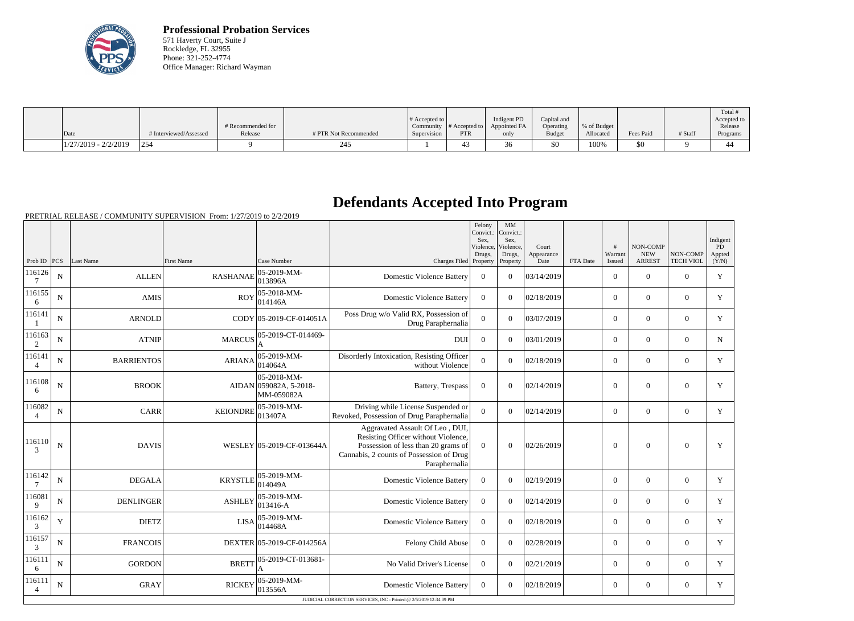

**Professional Probation Services** 571 Haverty Court, Suite J Rockledge, FL 32955 Phone: 321-252-4774 Office Manager: Richard Wayman

|                        |                        | # Recommended for |                       | $\#$ Accepted to $\ $ | Community $ #$ Accepted to $ $ | Indigent PD<br>Appointed FA | Capital and<br>Operating | % of Budget |           |         | Total<br>Accepted to<br>Release |
|------------------------|------------------------|-------------------|-----------------------|-----------------------|--------------------------------|-----------------------------|--------------------------|-------------|-----------|---------|---------------------------------|
| Date                   | # Interviewed/Assessed | Release           | # PTR Not Recommended | Supervision           | <b>PTR</b>                     | only                        | Budget                   | Allocated   | Fees Paid | # Staff | Programs                        |
| $1/27/2019 - 2/2/2019$ | 1254                   |                   | 245                   |                       | 45.                            | 30                          | \$0                      | 100%        | \$0       |         |                                 |

## **Defendants Accepted Into Program**

PRETRIAL RELEASE / COMMUNITY SUPERVISION From: 1/27/2019 to 2/2/2019

|                          |             |                   |                 |                                                             |                                                                                                                                                                            | Felony<br>Convict.:<br>Sex,<br>Violence,<br>Drugs, | MM<br>Convict.:<br>Sex,<br>Violence,<br>Drugs, | Court<br>Appearance |          | #<br>Warrant     | NON-COMP<br><b>NEW</b> | NON-COMP         | Indigent<br>PD<br>Appted |
|--------------------------|-------------|-------------------|-----------------|-------------------------------------------------------------|----------------------------------------------------------------------------------------------------------------------------------------------------------------------------|----------------------------------------------------|------------------------------------------------|---------------------|----------|------------------|------------------------|------------------|--------------------------|
| Prob ID $ PCS $          |             | Last Name         | First Name      | Case Number                                                 | Charges Filed Property                                                                                                                                                     |                                                    | Property                                       | Date                | FTA Date | Issued           | <b>ARREST</b>          | <b>TECH VIOL</b> | (Y/N)                    |
| 116126                   | N           | <b>ALLEN</b>      | <b>RASHANAE</b> | $ 05-2019-MM -$<br>013896A                                  | <b>Domestic Violence Battery</b>                                                                                                                                           | $\overline{0}$                                     | $\theta$                                       | 03/14/2019          |          | $\overline{0}$   | $\theta$               | $\overline{0}$   | $\mathbf Y$              |
| 116155<br>6              | N           | <b>AMIS</b>       | <b>ROY</b>      | 05-2018-MM-<br>014146A                                      | <b>Domestic Violence Battery</b>                                                                                                                                           | $\overline{0}$                                     | $\Omega$                                       | 02/18/2019          |          | $\overline{0}$   | $\overline{0}$         | $\overline{0}$   | Y                        |
| 116141                   | $\mathbf N$ | <b>ARNOLD</b>     |                 | CODY 05-2019-CF-014051A                                     | Poss Drug w/o Valid RX, Possession of<br>Drug Paraphernalia                                                                                                                | $\overline{0}$                                     | $\Omega$                                       | 03/07/2019          |          | $\overline{0}$   | $\theta$               | $\overline{0}$   | Y                        |
| 116163<br>$\overline{2}$ | $\mathbf N$ | <b>ATNIP</b>      | <b>MARCUS</b>   | 05-2019-CT-014469-                                          | <b>DUI</b>                                                                                                                                                                 | $\theta$                                           | $\Omega$                                       | 03/01/2019          |          | $\Omega$         | $\theta$               | $\Omega$         | $\mathbf N$              |
| 116141<br>$\overline{4}$ | N           | <b>BARRIENTOS</b> | <b>ARIANA</b>   | 05-2019-MM-<br>014064A                                      | Disorderly Intoxication, Resisting Officer<br>without Violence                                                                                                             | $\theta$                                           | $\Omega$                                       | 02/18/2019          |          | $\Omega$         | $\theta$               | $\Omega$         | Y                        |
| 116108<br>6              | $\mathbf N$ | <b>BROOK</b>      |                 | $ 05 - 2018 - MM -$<br>AIDAN 059082A, 5-2018-<br>MM-059082A | Battery, Trespass                                                                                                                                                          | $\overline{0}$                                     | $\theta$                                       | 02/14/2019          |          | $\boldsymbol{0}$ | $\theta$               | $\overline{0}$   | $\mathbf Y$              |
| 116082<br>$\overline{4}$ | $\mathbf N$ | <b>CARR</b>       | <b>KEIONDRE</b> | 05-2019-MM-<br>013407A                                      | Driving while License Suspended or<br>Revoked, Possession of Drug Paraphernalia                                                                                            | $\mathbf{0}$                                       | $\Omega$                                       | 02/14/2019          |          | $\overline{0}$   | $\overline{0}$         | $\mathbf{0}$     | Y                        |
| 116110<br>3              | ${\bf N}$   | <b>DAVIS</b>      |                 | WESLEY 05-2019-CF-013644A                                   | Aggravated Assault Of Leo, DUI,<br>Resisting Officer without Violence,<br>Possession of less than 20 grams of<br>Cannabis, 2 counts of Possession of Drug<br>Paraphernalia | $\overline{0}$                                     | $\theta$                                       | 02/26/2019          |          | $\theta$         | $\mathbf{0}$           | $\mathbf{0}$     | Y                        |
| 116142                   | N           | <b>DEGALA</b>     | <b>KRYSTLE</b>  | $ 05 - 2019 - MM -$<br>014049A                              | <b>Domestic Violence Battery</b>                                                                                                                                           | $\theta$                                           | $\Omega$                                       | 02/19/2019          |          | $\overline{0}$   | $\overline{0}$         | $\overline{0}$   | Y                        |
| 116081<br>9              | N           | <b>DENLINGER</b>  | <b>ASHLEY</b>   | 05-2019-MM-<br>013416-A                                     | <b>Domestic Violence Battery</b>                                                                                                                                           | $\overline{0}$                                     | $\Omega$                                       | 02/14/2019          |          | $\overline{0}$   | $\overline{0}$         | $\mathbf{0}$     | Y                        |
| 116162<br>3              | $\mathbf Y$ | <b>DIETZ</b>      | <b>LISA</b>     | 05-2019-MM-<br> 014468A                                     | <b>Domestic Violence Battery</b>                                                                                                                                           | $\overline{0}$                                     | $\Omega$                                       | 02/18/2019          |          | $\overline{0}$   | $\mathbf{0}$           | $\mathbf{0}$     | Y                        |
| 116157<br>3              | ${\bf N}$   | <b>FRANCOIS</b>   |                 | DEXTER 05-2019-CF-014256A                                   | Felony Child Abuse                                                                                                                                                         | $\overline{0}$                                     | $\Omega$                                       | 02/28/2019          |          | $\overline{0}$   | $\overline{0}$         | $\overline{0}$   | Y                        |
| 116111<br>6              | N           | <b>GORDON</b>     | <b>BRETT</b>    | 05-2019-CT-013681-<br>A                                     | No Valid Driver's License                                                                                                                                                  | $\overline{0}$                                     | $\Omega$                                       | 02/21/2019          |          | $\overline{0}$   | $\theta$               | $\overline{0}$   | Y                        |
| 116111<br>4              | N           | <b>GRAY</b>       | <b>RICKEY</b>   | 05-2019-MM-<br>013556A                                      | <b>Domestic Violence Battery</b>                                                                                                                                           | $\overline{0}$                                     | $\Omega$                                       | 02/18/2019          |          | $\overline{0}$   | $\theta$               | $\overline{0}$   | Y                        |
|                          |             |                   |                 |                                                             | JUDICIAL CORRECTION SERVICES, INC - Printed @ 2/5/2019 12:34:09 PM                                                                                                         |                                                    |                                                |                     |          |                  |                        |                  |                          |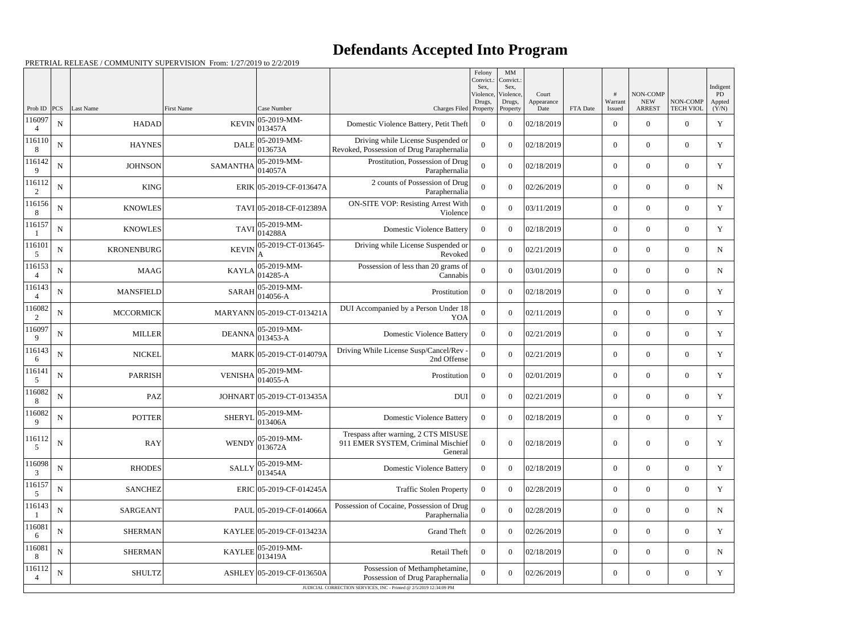## **Defendants Accepted Into Program**

PRETRIAL RELEASE / COMMUNITY SUPERVISION From: 1/27/2019 to 2/2/2019

|                          |             |                   |                 |                                 |                                                                                                                                          | Felony<br>Convict.: | $\mathbf{M}\mathbf{M}$<br>Convict.: |                    |          |                   |                             |                       |                 |
|--------------------------|-------------|-------------------|-----------------|---------------------------------|------------------------------------------------------------------------------------------------------------------------------------------|---------------------|-------------------------------------|--------------------|----------|-------------------|-----------------------------|-----------------------|-----------------|
|                          |             |                   |                 |                                 |                                                                                                                                          | Sex.<br>Violence,   | Sex,<br>Violence,                   | Court              |          |                   | NON-COMP                    |                       | Indigent<br>PD  |
| Prob ID $ PCS $          |             | Last Name         | First Name      | Case Number                     | Charges Filed Property                                                                                                                   | Drugs,              | Drugs,<br>Property                  | Appearance<br>Date | FTA Date | Warrant<br>Issued | <b>NEW</b><br><b>ARREST</b> | NON-COMP<br>TECH VIOL | Appted<br>(Y/N) |
| 116097<br>$\overline{4}$ | ${\bf N}$   | <b>HADAD</b>      | <b>KEVIN</b>    | 05-2019-MM-<br>013457A          | Domestic Violence Battery, Petit Theft                                                                                                   | $\overline{0}$      | $\overline{0}$                      | 02/18/2019         |          | $\overline{0}$    | $\Omega$                    | $\overline{0}$        | $\mathbf Y$     |
| 116110<br>8              | ${\bf N}$   | <b>HAYNES</b>     | <b>DALE</b>     | 05-2019-MM-<br>013673A          | Driving while License Suspended or<br>Revoked, Possession of Drug Paraphernalia                                                          | $\boldsymbol{0}$    | $\theta$                            | 02/18/2019         |          | $\overline{0}$    | $\overline{0}$              | $\overline{0}$        | Y               |
| 116142<br>9              | ${\bf N}$   | <b>JOHNSON</b>    | <b>SAMANTHA</b> | 05-2019-MM-<br>014057A          | Prostitution, Possession of Drug<br>Paraphernalia                                                                                        | $\overline{0}$      | $\theta$                            | 02/18/2019         |          | $\overline{0}$    | $\theta$                    | $\overline{0}$        | Y               |
| 116112<br>2              | ${\bf N}$   | <b>KING</b>       |                 | ERIK 05-2019-CF-013647A         | 2 counts of Possession of Drug<br>Paraphernalia                                                                                          | $\mathbf{0}$        | $\theta$                            | 02/26/2019         |          | $\overline{0}$    | $\overline{0}$              | $\overline{0}$        | ${\bf N}$       |
| 116156<br>8              | $\mathbf N$ | <b>KNOWLES</b>    |                 | TAVI 05-2018-CF-012389A         | <b>ON-SITE VOP: Resisting Arrest With</b><br>Violence                                                                                    | $\theta$            | $\theta$                            | 03/11/2019         |          | $\overline{0}$    | $\Omega$                    | $\overline{0}$        | $\mathbf Y$     |
| 116157                   | ${\bf N}$   | <b>KNOWLES</b>    | <b>TAVI</b>     | 05-2019-MM-<br>014288A          | <b>Domestic Violence Battery</b>                                                                                                         | $\Omega$            | $\theta$                            | 02/18/2019         |          | $\overline{0}$    | $\overline{0}$              | $\overline{0}$        | Y               |
| 116101<br>5              | ${\bf N}$   | <b>KRONENBURG</b> | <b>KEVIN</b>    | 05-2019-CT-013645-<br>A         | Driving while License Suspended or<br>Revoked                                                                                            | $\theta$            | $\theta$                            | 02/21/2019         |          | $\overline{0}$    | $\theta$                    | $\overline{0}$        | $\mathbf N$     |
| 116153                   | ${\bf N}$   | MAAG              | <b>KAYLA</b>    | 05-2019-MM-<br>014285-A         | Possession of less than 20 grams of<br>Cannabis                                                                                          | $\mathbf{0}$        | $\theta$                            | 03/01/2019         |          | $\overline{0}$    | $\overline{0}$              | $\overline{0}$        | ${\bf N}$       |
| 116143<br>$\overline{4}$ | $\mathbf N$ | <b>MANSFIELD</b>  | <b>SARAH</b>    | 05-2019-MM-<br>014056-A         | Prostitution                                                                                                                             | $\overline{0}$      | $\theta$                            | 02/18/2019         |          | $\overline{0}$    | $\Omega$                    | $\overline{0}$        | Y               |
| 116082<br>2              | $\mathbf N$ | <b>MCCORMICK</b>  |                 | MARYANN 05-2019-CT-013421A      | DUI Accompanied by a Person Under 18<br><b>YOA</b>                                                                                       | $\boldsymbol{0}$    | $\theta$                            | 02/11/2019         |          | $\overline{0}$    | $\overline{0}$              | $\overline{0}$        | $\mathbf Y$     |
| 116097<br>9              | ${\bf N}$   | <b>MILLER</b>     | <b>DEANNA</b>   | 05-2019-MM-<br>$013453 - A$     | <b>Domestic Violence Battery</b>                                                                                                         | $\overline{0}$      | $\theta$                            | 02/21/2019         |          | $\overline{0}$    | $\theta$                    | $\overline{0}$        | Y               |
| 116143<br>6              | ${\bf N}$   | <b>NICKEL</b>     |                 | MARK 05-2019-CT-014079A         | Driving While License Susp/Cancel/Rev -<br>2nd Offense                                                                                   | $\boldsymbol{0}$    | $\theta$                            | 02/21/2019         |          | $\overline{0}$    | $\overline{0}$              | $\overline{0}$        | Y               |
| 116141<br>5              | ${\bf N}$   | <b>PARRISH</b>    | <b>VENISHA</b>  | 05-2019-MM-<br>014055-A         | Prostitution                                                                                                                             | $\overline{0}$      | $\theta$                            | 02/01/2019         |          | $\overline{0}$    | $\Omega$                    | $\overline{0}$        | Y               |
| 116082<br>8              | ${\bf N}$   | PAZ               |                 | JOHNART 05-2019-CT-013435A      | <b>DUI</b>                                                                                                                               | $\overline{0}$      | $\theta$                            | 02/21/2019         |          | $\overline{0}$    | $\overline{0}$              | $\overline{0}$        | Y               |
| 116082<br>9              | ${\bf N}$   | <b>POTTER</b>     |                 | SHERYL $05-2019-MM-$<br>013406A | <b>Domestic Violence Battery</b>                                                                                                         | $\bf{0}$            | $\overline{0}$                      | 02/18/2019         |          | $\overline{0}$    | $\overline{0}$              | $\overline{0}$        | Y               |
| 116112<br>5              | ${\bf N}$   | <b>RAY</b>        | <b>WENDY</b>    | 05-2019-MM-<br>013672A          | Trespass after warning, 2 CTS MISUSE<br>911 EMER SYSTEM, Criminal Mischief<br>General                                                    | $\overline{0}$      | $\overline{0}$                      | 02/18/2019         |          | $\boldsymbol{0}$  | $\overline{0}$              | $\overline{0}$        | $\mathbf Y$     |
| 116098<br>3              | ${\bf N}$   | <b>RHODES</b>     | <b>SALLY</b>    | 05-2019-MM-<br>013454A          | <b>Domestic Violence Battery</b>                                                                                                         | $\overline{0}$      | $\boldsymbol{0}$                    | 02/18/2019         |          | $\overline{0}$    | $\overline{0}$              | $\overline{0}$        | Y               |
| 116157<br>5              | ${\bf N}$   | <b>SANCHEZ</b>    |                 | ERIC 05-2019-CF-014245A         | <b>Traffic Stolen Property</b>                                                                                                           | $\overline{0}$      | $\overline{0}$                      | 02/28/2019         |          | $\overline{0}$    | $\boldsymbol{0}$            | $\boldsymbol{0}$      | Y               |
| 116143                   | ${\bf N}$   | <b>SARGEANT</b>   |                 | PAUL 05-2019-CF-014066A         | Possession of Cocaine, Possession of Drug<br>Paraphernalia                                                                               | $\mathbf{0}$        | $\boldsymbol{0}$                    | 02/28/2019         |          | $\overline{0}$    | $\overline{0}$              | $\overline{0}$        | ${\bf N}$       |
| 116081<br>6              | ${\bf N}$   | <b>SHERMAN</b>    |                 | KAYLEE 05-2019-CF-013423A       | <b>Grand Theft</b>                                                                                                                       | $\overline{0}$      | $\overline{0}$                      | 02/26/2019         |          | $\boldsymbol{0}$  | $\mathbf{0}$                | $\boldsymbol{0}$      | Y               |
| 116081<br>8              | ${\bf N}$   | <b>SHERMAN</b>    | <b>KAYLEE</b>   | 05-2019-MM-<br>013419A          | Retail Theft                                                                                                                             | $\overline{0}$      | $\boldsymbol{0}$                    | 02/18/2019         |          | $\overline{0}$    | $\overline{0}$              | $\overline{0}$        | $\mathbf N$     |
| 116112                   | ${\bf N}$   | <b>SHULTZ</b>     |                 | ASHLEY 05-2019-CF-013650A       | Possession of Methamphetamine,<br>Possession of Drug Paraphernalia<br>JUDICIAL CORRECTION SERVICES, INC - Printed @ 2/5/2019 12:34:09 PM | $\boldsymbol{0}$    | $\overline{0}$                      | 02/26/2019         |          | $\boldsymbol{0}$  | $\mathbf{0}$                | $\overline{0}$        | Y               |